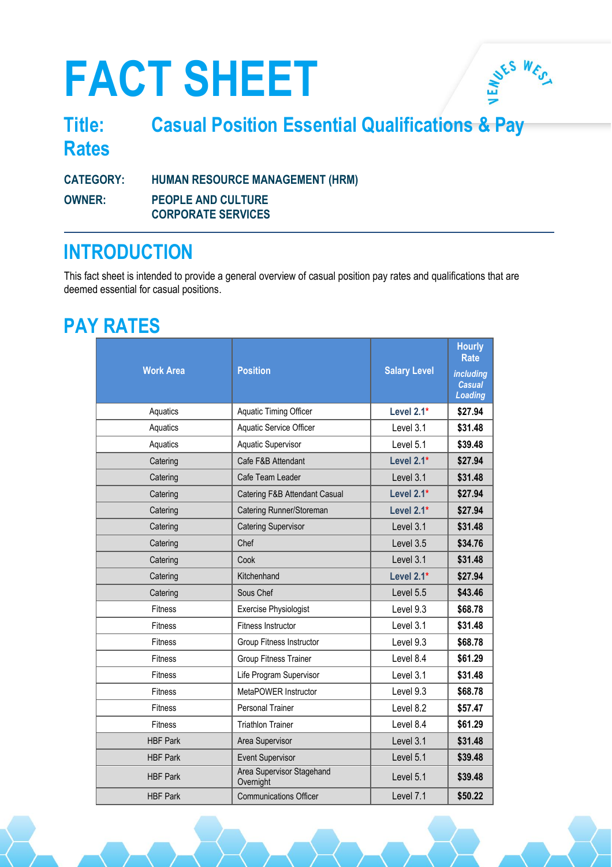# **FACT SHEET**



#### **Title: Casual Position Essential Qualifications & Pay Rates**

**CATEGORY: HUMAN RESOURCE MANAGEMENT (HRM)**

**OWNER: PEOPLE AND CULTURE CORPORATE SERVICES**

## **INTRODUCTION**

This fact sheet is intended to provide a general overview of casual position pay rates and qualifications that are deemed essential for casual positions.

## **PAY RATES**

| <b>Work Area</b> | <b>Position</b>                        | <b>Salary Level</b> | <b>Hourly</b><br><b>Rate</b><br><i>including</i><br><b>Casual</b><br>Loading |
|------------------|----------------------------------------|---------------------|------------------------------------------------------------------------------|
| Aquatics         | Aquatic Timing Officer                 | Level 2.1*          | \$27.94                                                                      |
| Aquatics         | Aquatic Service Officer                | Level 3.1           | \$31.48                                                                      |
| Aquatics         | Aquatic Supervisor                     | Level 5.1           | \$39.48                                                                      |
| Catering         | Cafe F&B Attendant                     | Level 2.1*          | \$27.94                                                                      |
| Catering         | Cafe Team Leader                       | Level 3.1           | \$31.48                                                                      |
| Catering         | Catering F&B Attendant Casual          | Level 2.1*          | \$27.94                                                                      |
| Catering         | Catering Runner/Storeman               | Level 2.1*          | \$27.94                                                                      |
| Catering         | <b>Catering Supervisor</b>             | Level 3.1           | \$31.48                                                                      |
| Catering         | Chef                                   | Level 3.5           | \$34.76                                                                      |
| Catering         | Cook                                   | Level 3.1           | \$31.48                                                                      |
| Catering         | Kitchenhand                            | Level 2.1*          | \$27.94                                                                      |
| Catering         | Sous Chef                              | Level 5.5           | \$43.46                                                                      |
| <b>Fitness</b>   | <b>Exercise Physiologist</b>           | Level 9.3           | \$68.78                                                                      |
| <b>Fitness</b>   | Fitness Instructor                     | Level 3.1           | \$31.48                                                                      |
| <b>Fitness</b>   | <b>Group Fitness Instructor</b>        | Level 9.3           | \$68.78                                                                      |
| <b>Fitness</b>   | Group Fitness Trainer                  | Level 8.4           | \$61.29                                                                      |
| <b>Fitness</b>   | Life Program Supervisor                | Level 3.1           | \$31.48                                                                      |
| <b>Fitness</b>   | MetaPOWER Instructor                   | Level 9.3           | \$68.78                                                                      |
| <b>Fitness</b>   | <b>Personal Trainer</b>                | Level 8.2           | \$57.47                                                                      |
| <b>Fitness</b>   | <b>Triathlon Trainer</b>               | Level 8.4           | \$61.29                                                                      |
| <b>HBF Park</b>  | Area Supervisor                        | Level 3.1           | \$31.48                                                                      |
| <b>HBF Park</b>  | <b>Event Supervisor</b>                | Level 5.1           | \$39.48                                                                      |
| <b>HBF Park</b>  | Area Supervisor Stagehand<br>Overnight | Level 5.1           | \$39.48                                                                      |
| <b>HBF Park</b>  | <b>Communications Officer</b>          | Level 7.1           | \$50.22                                                                      |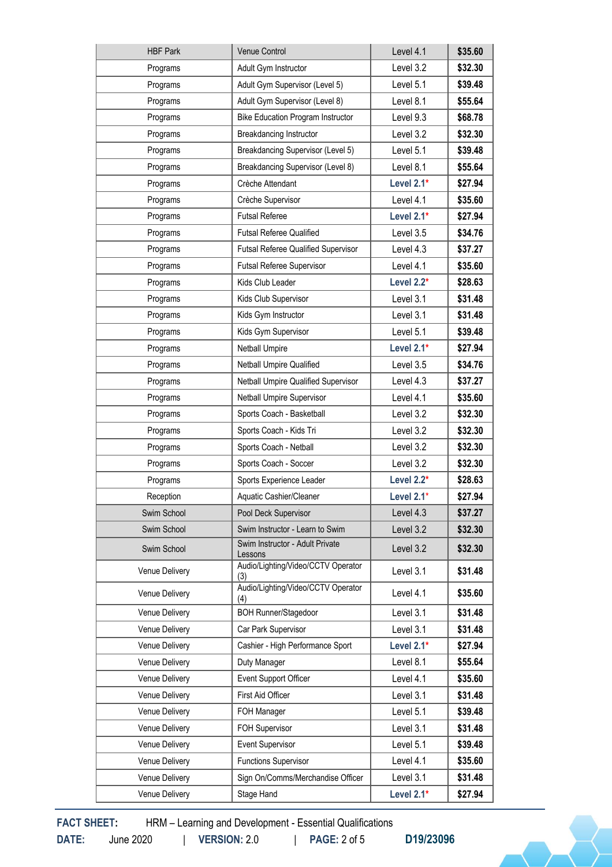| <b>HBF Park</b> | Venue Control                              | Level 4.1  | \$35.60 |
|-----------------|--------------------------------------------|------------|---------|
| Programs        | Adult Gym Instructor                       | Level 3.2  | \$32.30 |
| Programs        | Adult Gym Supervisor (Level 5)             | Level 5.1  | \$39.48 |
| Programs        | Adult Gym Supervisor (Level 8)             | Level 8.1  | \$55.64 |
| Programs        | <b>Bike Education Program Instructor</b>   | Level 9.3  | \$68.78 |
| Programs        | <b>Breakdancing Instructor</b>             | Level 3.2  | \$32.30 |
| Programs        | Breakdancing Supervisor (Level 5)          | Level 5.1  | \$39.48 |
| Programs        | Breakdancing Supervisor (Level 8)          | Level 8.1  | \$55.64 |
| Programs        | Crèche Attendant                           | Level 2.1* | \$27.94 |
| Programs        | Crèche Supervisor                          | Level 4.1  | \$35.60 |
| Programs        | <b>Futsal Referee</b>                      | Level 2.1* | \$27.94 |
| Programs        | <b>Futsal Referee Qualified</b>            | Level 3.5  | \$34.76 |
| Programs        | <b>Futsal Referee Qualified Supervisor</b> | Level 4.3  | \$37.27 |
| Programs        | Futsal Referee Supervisor                  | Level 4.1  | \$35.60 |
| Programs        | Kids Club Leader                           | Level 2.2* | \$28.63 |
| Programs        | Kids Club Supervisor                       | Level 3.1  | \$31.48 |
| Programs        | Kids Gym Instructor                        | Level 3.1  | \$31.48 |
| Programs        | Kids Gym Supervisor                        | Level 5.1  | \$39.48 |
| Programs        | <b>Netball Umpire</b>                      | Level 2.1* | \$27.94 |
| Programs        | Netball Umpire Qualified                   | Level 3.5  | \$34.76 |
| Programs        | Netball Umpire Qualified Supervisor        | Level 4.3  | \$37.27 |
| Programs        | Netball Umpire Supervisor                  | Level 4.1  | \$35.60 |
| Programs        | Sports Coach - Basketball                  | Level 3.2  | \$32.30 |
| Programs        | Sports Coach - Kids Tri                    | Level 3.2  | \$32.30 |
| Programs        | Sports Coach - Netball                     | Level 3.2  | \$32.30 |
| Programs        | Sports Coach - Soccer                      | Level 3.2  | \$32.30 |
| Programs        | Sports Experience Leader                   | Level 2.2* | \$28.63 |
| Reception       | Aquatic Cashier/Cleaner                    | Level 2.1* | \$27.94 |
| Swim School     | Pool Deck Supervisor                       | Level 4.3  | \$37.27 |
| Swim School     | Swim Instructor - Learn to Swim            | Level 3.2  | \$32.30 |
| Swim School     | Swim Instructor - Adult Private<br>Lessons | Level 3.2  | \$32.30 |
| Venue Delivery  | Audio/Lighting/Video/CCTV Operator<br>(3)  | Level 3.1  | \$31.48 |
| Venue Delivery  | Audio/Lighting/Video/CCTV Operator<br>(4)  | Level 4.1  | \$35.60 |
| Venue Delivery  | <b>BOH Runner/Stagedoor</b>                | Level 3.1  | \$31.48 |
| Venue Delivery  | Car Park Supervisor                        | Level 3.1  | \$31.48 |
| Venue Delivery  | Cashier - High Performance Sport           | Level 2.1* | \$27.94 |
| Venue Delivery  | Duty Manager                               | Level 8.1  | \$55.64 |
| Venue Delivery  | Event Support Officer                      | Level 4.1  | \$35.60 |
| Venue Delivery  | First Aid Officer                          | Level 3.1  | \$31.48 |
| Venue Delivery  | FOH Manager                                | Level 5.1  | \$39.48 |
| Venue Delivery  | FOH Supervisor                             | Level 3.1  | \$31.48 |
| Venue Delivery  | Event Supervisor                           | Level 5.1  | \$39.48 |
| Venue Delivery  | <b>Functions Supervisor</b>                | Level 4.1  | \$35.60 |
| Venue Delivery  | Sign On/Comms/Merchandise Officer          | Level 3.1  | \$31.48 |
| Venue Delivery  | Stage Hand                                 | Level 2.1* | \$27.94 |

**FACT SHEET:** HRM – Learning and Development - Essential Qualifications

 $\overline{\phantom{a}}$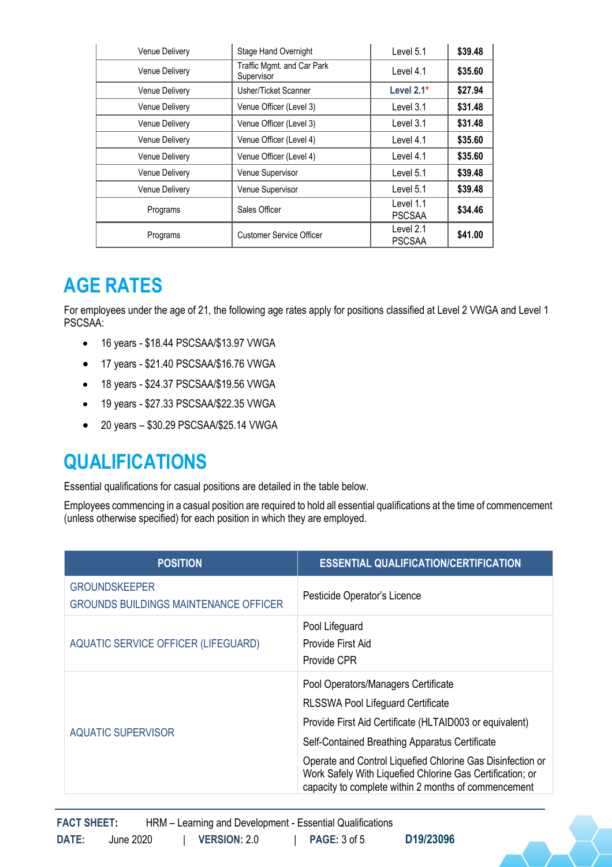| <b>Venue Delivery</b> | <b>Stage Hand Overnight</b>              | Level 5.1                  | \$39.48 |
|-----------------------|------------------------------------------|----------------------------|---------|
| <b>Venue Delivery</b> | Traffic Mgmt. and Car Park<br>Supervisor | Level 4.1                  | \$35.60 |
| <b>Venue Delivery</b> | Usher/Ticket Scanner                     | Level $2.1*$               | \$27.94 |
| <b>Venue Delivery</b> | Venue Officer (Level 3)                  | Level 3.1                  | \$31.48 |
| Venue Delivery        | Venue Officer (Level 3)                  | Level 3.1                  | \$31.48 |
| <b>Venue Delivery</b> | Venue Officer (Level 4)                  | Level 4.1                  | \$35.60 |
| <b>Venue Delivery</b> | Venue Officer (Level 4)                  | Level 4.1                  | \$35.60 |
| <b>Venue Delivery</b> | Venue Supervisor                         | Level 5.1                  | \$39.48 |
| <b>Venue Delivery</b> | Venue Supervisor                         | Level 5.1                  | \$39.48 |
| Programs              | Sales Officer                            | Level 1.1<br><b>PSCSAA</b> | \$34.46 |
| Programs              | Customer Service Officer                 | Level 2.1<br><b>PSCSAA</b> | \$41.00 |

#### **AGE RATES**

For employees under the age of 21, the following age rates apply for positions classified at Level 2 VWGA and Level 1 PSCSAA:

- 16 years \$18.44 PSCSAA/\$13.97 VWGA
- 17 years \$21.40 PSCSAA/\$16.76 VWGA
- 18 years \$24.37 PSCSAA/\$19.56 VWGA
- 19 years \$27.33 PSCSAA/\$22.35 VWGA
- 20 years \$30.29 PSCSAA/\$25.14 VWGA

#### **QUALIFICATIONS**

Essential qualifications for casual positions are detailed in the table below.

Employees commencing in a casual position are required to hold all essential qualifications at the time of commencement (unless otherwise specified) for each position in which they are employed.

| <b>POSITION</b>                                                      | <b>ESSENTIAL QUALIFICATION/CERTIFICATION</b>                                                                                                                                                                                                               |  |
|----------------------------------------------------------------------|------------------------------------------------------------------------------------------------------------------------------------------------------------------------------------------------------------------------------------------------------------|--|
| <b>GROUNDSKEEPER</b><br><b>GROUNDS BUILDINGS MAINTENANCE OFFICER</b> | Pesticide Operator's Licence                                                                                                                                                                                                                               |  |
| <b>AQUATIC SERVICE OFFICER (LIFEGUARD)</b>                           | Pool Lifeguard<br>Provide First Aid<br>Provide CPR                                                                                                                                                                                                         |  |
| <b>AQUATIC SUPERVISOR</b>                                            | Pool Operators/Managers Certificate<br><b>RLSSWA Pool Lifeguard Certificate</b><br>Provide First Aid Certificate (HLTAID003 or equivalent)<br>Self-Contained Breathing Apparatus Certificate<br>Operate and Control Liquefied Chlorine Gas Disinfection or |  |
|                                                                      | Work Safely With Liquefied Chlorine Gas Certification; or<br>capacity to complete within 2 months of commencement                                                                                                                                          |  |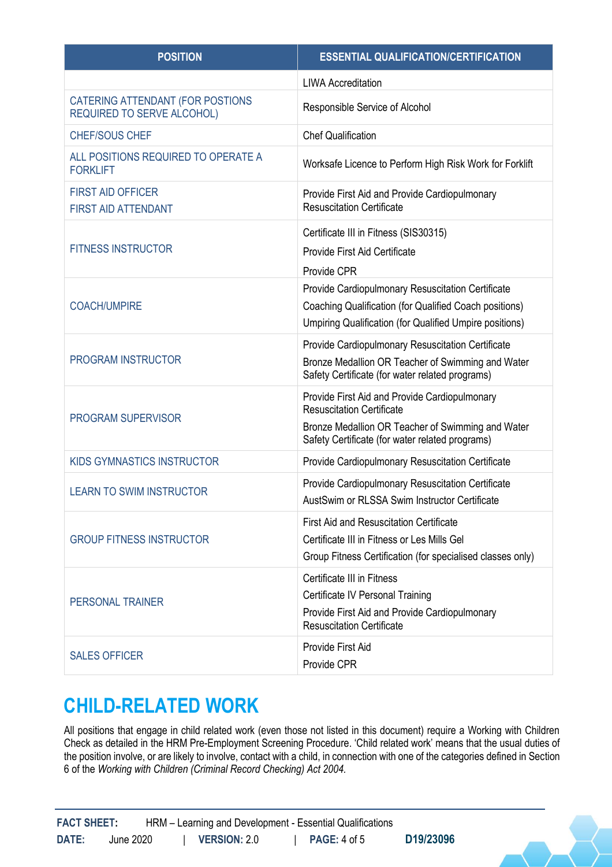| <b>POSITION</b>                                                       | <b>ESSENTIAL QUALIFICATION/CERTIFICATION</b>                                                                                                                                              |
|-----------------------------------------------------------------------|-------------------------------------------------------------------------------------------------------------------------------------------------------------------------------------------|
|                                                                       | <b>LIWA Accreditation</b>                                                                                                                                                                 |
| CATERING ATTENDANT (FOR POSTIONS<br><b>REQUIRED TO SERVE ALCOHOL)</b> | Responsible Service of Alcohol                                                                                                                                                            |
| <b>CHEF/SOUS CHEF</b>                                                 | <b>Chef Qualification</b>                                                                                                                                                                 |
| ALL POSITIONS REQUIRED TO OPERATE A<br><b>FORKLIFT</b>                | Worksafe Licence to Perform High Risk Work for Forklift                                                                                                                                   |
| <b>FIRST AID OFFICER</b><br><b>FIRST AID ATTENDANT</b>                | Provide First Aid and Provide Cardiopulmonary<br><b>Resuscitation Certificate</b>                                                                                                         |
| <b>FITNESS INSTRUCTOR</b>                                             | Certificate III in Fitness (SIS30315)<br>Provide First Aid Certificate<br>Provide CPR                                                                                                     |
| <b>COACH/UMPIRE</b>                                                   | Provide Cardiopulmonary Resuscitation Certificate<br>Coaching Qualification (for Qualified Coach positions)<br>Umpiring Qualification (for Qualified Umpire positions)                    |
| <b>PROGRAM INSTRUCTOR</b>                                             | Provide Cardiopulmonary Resuscitation Certificate<br>Bronze Medallion OR Teacher of Swimming and Water<br>Safety Certificate (for water related programs)                                 |
| <b>PROGRAM SUPERVISOR</b>                                             | Provide First Aid and Provide Cardiopulmonary<br><b>Resuscitation Certificate</b><br>Bronze Medallion OR Teacher of Swimming and Water<br>Safety Certificate (for water related programs) |
| KIDS GYMNASTICS INSTRUCTOR                                            | Provide Cardiopulmonary Resuscitation Certificate                                                                                                                                         |
| <b>LEARN TO SWIM INSTRUCTOR</b>                                       | Provide Cardiopulmonary Resuscitation Certificate<br>AustSwim or RLSSA Swim Instructor Certificate                                                                                        |
| <b>GROUP FITNESS INSTRUCTOR</b>                                       | <b>First Aid and Resuscitation Certificate</b><br>Certificate III in Fitness or Les Mills Gel<br>Group Fitness Certification (for specialised classes only)                               |
| <b>PERSONAL TRAINER</b>                                               | Certificate III in Fitness<br>Certificate IV Personal Training<br>Provide First Aid and Provide Cardiopulmonary<br><b>Resuscitation Certificate</b>                                       |
| <b>SALES OFFICER</b>                                                  | Provide First Aid<br>Provide CPR                                                                                                                                                          |

### **CHILD-RELATED WORK**

All positions that engage in child related work (even those not listed in this document) require a Working with Children Check as detailed in the HRM Pre-Employment Screening Procedure. 'Child related work' means that the usual duties of the position involve, or are likely to involve, contact with a child, in connection with one of the categories defined in Section 6 of the *Working with Children (Criminal Record Checking) Act 2004.*